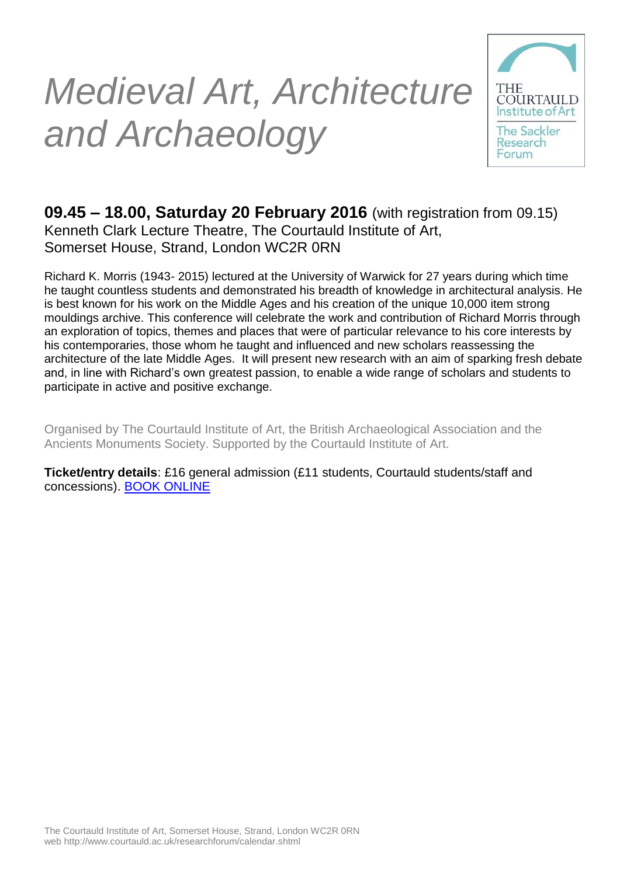# *Medieval Art, Architecture and Archaeology*



### **09.45 – 18.00, Saturday 20 February 2016** (with registration from 09.15) Kenneth Clark Lecture Theatre, The Courtauld Institute of Art, Somerset House, Strand, London WC2R 0RN

Richard K. Morris (1943- 2015) lectured at the University of Warwick for 27 years during which time he taught countless students and demonstrated his breadth of knowledge in architectural analysis. He is best known for his work on the Middle Ages and his creation of the unique 10,000 item strong mouldings archive. This conference will celebrate the work and contribution of Richard Morris through an exploration of topics, themes and places that were of particular relevance to his core interests by his contemporaries, those whom he taught and influenced and new scholars reassessing the architecture of the late Middle Ages. It will present new research with an aim of sparking fresh debate and, in line with Richard's own greatest passion, to enable a wide range of scholars and students to participate in active and positive exchange.

Organised by The Courtauld Institute of Art, the British Archaeological Association and the Ancients Monuments Society. Supported by the Courtauld Institute of Art.

**Ticket/entry details**: £16 general admission (£11 students, Courtauld students/staff and concessions). [BOOK ONLINE](https://www.eventbrite.co.uk/e/medieval-art-architecture-and-archaeology-a-day-seminar-in-celebration-of-the-work-of-dr-richard-k-tickets-20807895977)